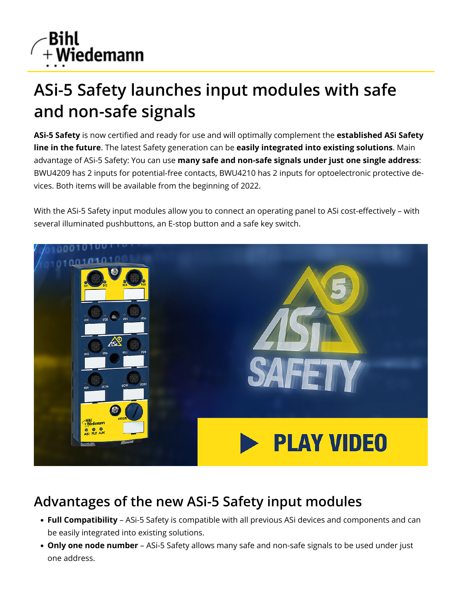

## **ASi-5 Safety launches input modules with safe and non-safe signals**

ASi-5 Safety is now certified and ready for use and will optimally complement the established ASi Safety **line in the future**. The latest Safety generation can be **easily integrated into existing solutions**. Main advantage of ASi-5 Safety: You can use **many safe and non-safe signals under just one single address**: [BWU4209](https://www.bihl-wiedemann.de/en/products/index-archiv/archives-safety-io-modules/t/bwu4209.html) has 2 inputs for potential-free contacts, [BWU4210](https://www.bihl-wiedemann.de/en/products/index-archiv/archives-safety-io-modules/t/bwu4210.html) has 2 inputs for optoelectronic protective devices. Both items will be available from the beginning of 2022.

With the ASi-5 Safety input modules allow you to connect an operating panel to ASi cost-effectively - with several illuminated pushbuttons, an E-stop button and a safe key switch.



## **Advantages of the new ASi-5 Safety input modules**

- **Full Compatibility** ASi-5 Safety is compatible with all previous ASi devices and components and can be easily integrated into existing solutions.
- **Only one node number** ASi-5 Safety allows many safe and non-safe signals to be used under just one address.